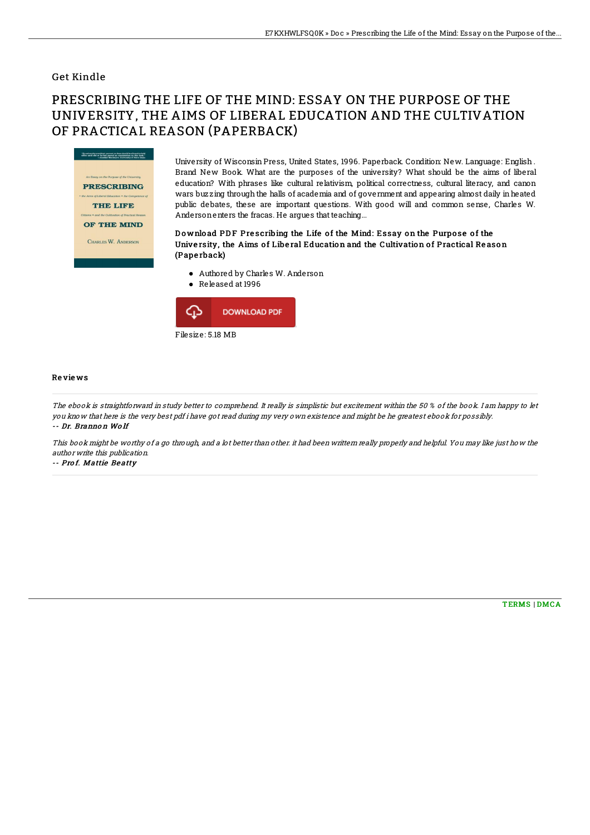### Get Kindle

# PRESCRIBING THE LIFE OF THE MIND: ESSAY ON THE PURPOSE OF THE UNIVERSITY, THE AIMS OF LIBERAL EDUCATION AND THE CULTIVATION OF PRACTICAL REASON (PAPERBACK)



University of Wisconsin Press, United States, 1996. Paperback. Condition: New. Language: English . Brand New Book. What are the purposes of the university? What should be the aims of liberal education? With phrases like cultural relativism, political correctness, cultural literacy, and canon wars buzzing through the halls of academia and of government and appearing almost daily inheated public debates, these are important questions. With good will and common sense, Charles W. Andersonenters the fracas. He argues that teaching...

#### Download PDF Prescribing the Life of the Mind: Essay on the Purpose of the University, the Aims of Liberal Education and the Cultivation of Practical Reason (Pape rback)

- Authored by Charles W. Anderson
- Released at 1996



#### Re vie ws

The ebook is straightforward in study better to comprehend. It really is simplistic but excitement within the 50 % of the book. I am happy to let you know that here is the very best pdf i have got read during my very own existence and might be he greatest ebook for possibly. -- Dr. Branno <sup>n</sup> Wo lf

This book might be worthy of <sup>a</sup> go through, and <sup>a</sup> lot better than other. it had been writtern really properly and helpful. You may like just how the author write this publication.

-- Prof. Mattie Beatty